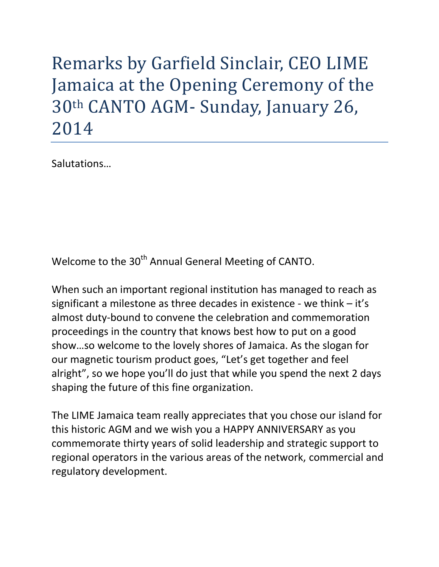## Remarks by Garfield Sinclair, CEO LIME Jamaica at the Opening Ceremony of the 30th CANTO AGM- Sunday, January 26, 2014

Salutations…

Welcome to the 30<sup>th</sup> Annual General Meeting of CANTO.

When such an important regional institution has managed to reach as significant a milestone as three decades in existence - we think – it's almost duty-bound to convene the celebration and commemoration proceedings in the country that knows best how to put on a good show…so welcome to the lovely shores of Jamaica. As the slogan for our magnetic tourism product goes, "Let's get together and feel alright", so we hope you'll do just that while you spend the next 2 days shaping the future of this fine organization.

The LIME Jamaica team really appreciates that you chose our island for this historic AGM and we wish you a HAPPY ANNIVERSARY as you commemorate thirty years of solid leadership and strategic support to regional operators in the various areas of the network, commercial and regulatory development.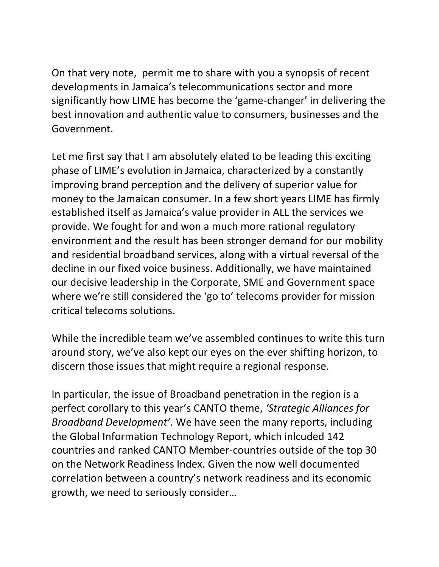On that very note, permit me to share with you a synopsis of recent developments in Jamaica's telecommunications sector and more significantly how LIME has become the 'game-changer' in delivering the best innovation and authentic value to consumers, businesses and the Government.

Let me first say that I am absolutely elated to be leading this exciting phase of LIME's evolution in Jamaica, characterized by a constantly improving brand perception and the delivery of superior value for money to the Jamaican consumer. In a few short years LIME has firmly established itself as Jamaica's value provider in ALL the services we provide. We fought for and won a much more rational regulatory environment and the result has been stronger demand for our mobility and residential broadband services, along with a virtual reversal of the decline in our fixed voice business. Additionally, we have maintained our decisive leadership in the Corporate, SME and Government space where we're still considered the 'go to' telecoms provider for mission critical telecoms solutions.

While the incredible team we've assembled continues to write this turn around story, we've also kept our eyes on the ever shifting horizon, to discern those issues that might require a regional response.

In particular, the issue of Broadband penetration in the region is a perfect corollary to this year's CANTO theme, *'Strategic Alliances for Broadband Development'*. We have seen the many reports, including the Global Information Technology Report, which inlcuded 142 countries and ranked CANTO Member-countries outside of the top 30 on the Network Readiness Index. Given the now well documented correlation between a country's network readiness and its economic growth, we need to seriously consider…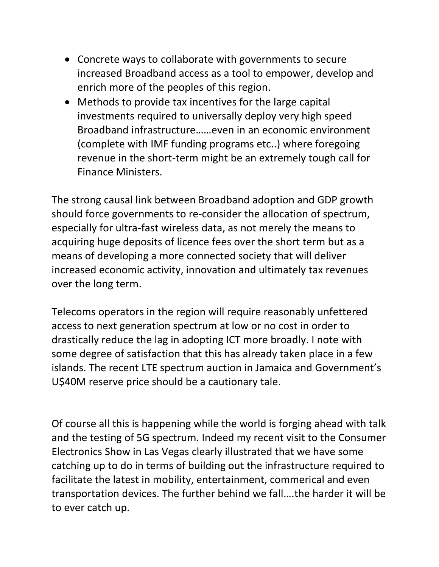- Concrete ways to collaborate with governments to secure increased Broadband access as a tool to empower, develop and enrich more of the peoples of this region.
- Methods to provide tax incentives for the large capital investments required to universally deploy very high speed Broadband infrastructure……even in an economic environment (complete with IMF funding programs etc..) where foregoing revenue in the short-term might be an extremely tough call for Finance Ministers.

The strong causal link between Broadband adoption and GDP growth should force governments to re-consider the allocation of spectrum, especially for ultra-fast wireless data, as not merely the means to acquiring huge deposits of licence fees over the short term but as a means of developing a more connected society that will deliver increased economic activity, innovation and ultimately tax revenues over the long term.

Telecoms operators in the region will require reasonably unfettered access to next generation spectrum at low or no cost in order to drastically reduce the lag in adopting ICT more broadly. I note with some degree of satisfaction that this has already taken place in a few islands. The recent LTE spectrum auction in Jamaica and Government's U\$40M reserve price should be a cautionary tale.

Of course all this is happening while the world is forging ahead with talk and the testing of 5G spectrum. Indeed my recent visit to the Consumer Electronics Show in Las Vegas clearly illustrated that we have some catching up to do in terms of building out the infrastructure required to facilitate the latest in mobility, entertainment, commerical and even transportation devices. The further behind we fall….the harder it will be to ever catch up.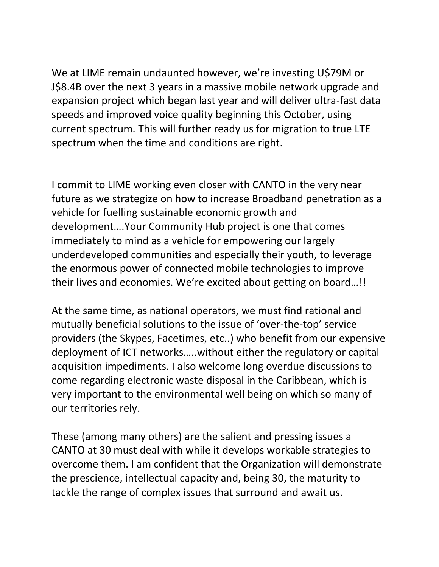We at LIME remain undaunted however, we're investing U\$79M or J\$8.4B over the next 3 years in a massive mobile network upgrade and expansion project which began last year and will deliver ultra-fast data speeds and improved voice quality beginning this October, using current spectrum. This will further ready us for migration to true LTE spectrum when the time and conditions are right.

I commit to LIME working even closer with CANTO in the very near future as we strategize on how to increase Broadband penetration as a vehicle for fuelling sustainable economic growth and development….Your Community Hub project is one that comes immediately to mind as a vehicle for empowering our largely underdeveloped communities and especially their youth, to leverage the enormous power of connected mobile technologies to improve their lives and economies. We're excited about getting on board…!!

At the same time, as national operators, we must find rational and mutually beneficial solutions to the issue of 'over-the-top' service providers (the Skypes, Facetimes, etc..) who benefit from our expensive deployment of ICT networks…..without either the regulatory or capital acquisition impediments. I also welcome long overdue discussions to come regarding electronic waste disposal in the Caribbean, which is very important to the environmental well being on which so many of our territories rely.

These (among many others) are the salient and pressing issues a CANTO at 30 must deal with while it develops workable strategies to overcome them. I am confident that the Organization will demonstrate the prescience, intellectual capacity and, being 30, the maturity to tackle the range of complex issues that surround and await us.